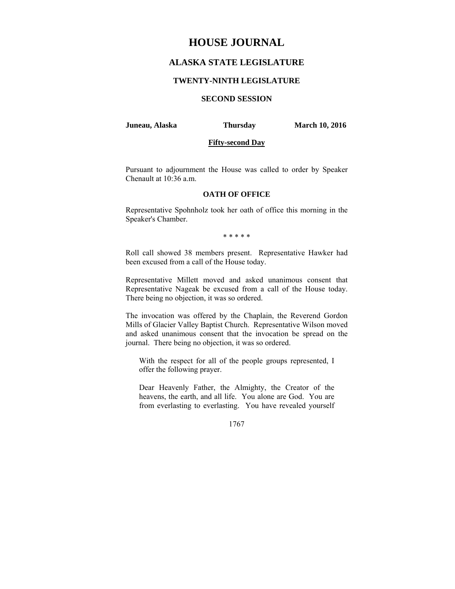# **HOUSE JOURNAL**

# **ALASKA STATE LEGISLATURE**

## **TWENTY-NINTH LEGISLATURE**

# **SECOND SESSION**

#### **Juneau, Alaska Thursday March 10, 2016**

#### **Fifty-second Day**

Pursuant to adjournment the House was called to order by Speaker Chenault at 10:36 a.m.

# **OATH OF OFFICE**

Representative Spohnholz took her oath of office this morning in the Speaker's Chamber.

\* \* \* \* \*

Roll call showed 38 members present. Representative Hawker had been excused from a call of the House today.

Representative Millett moved and asked unanimous consent that Representative Nageak be excused from a call of the House today. There being no objection, it was so ordered.

The invocation was offered by the Chaplain, the Reverend Gordon Mills of Glacier Valley Baptist Church. Representative Wilson moved and asked unanimous consent that the invocation be spread on the journal. There being no objection, it was so ordered.

With the respect for all of the people groups represented, I offer the following prayer.

Dear Heavenly Father, the Almighty, the Creator of the heavens, the earth, and all life. You alone are God. You are from everlasting to everlasting. You have revealed yourself

1767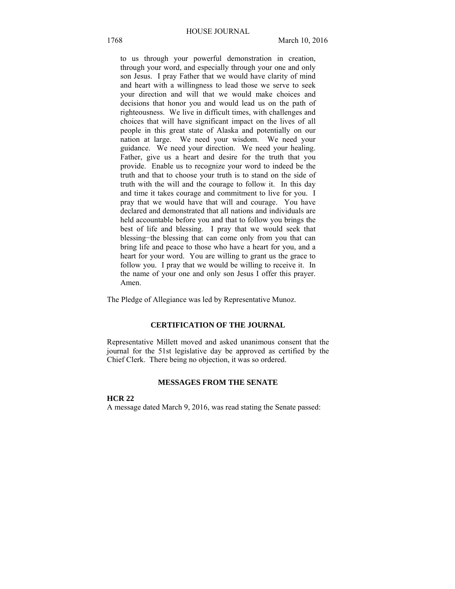to us through your powerful demonstration in creation, through your word, and especially through your one and only son Jesus. I pray Father that we would have clarity of mind and heart with a willingness to lead those we serve to seek your direction and will that we would make choices and decisions that honor you and would lead us on the path of righteousness. We live in difficult times, with challenges and choices that will have significant impact on the lives of all people in this great state of Alaska and potentially on our nation at large. We need your wisdom. We need your guidance. We need your direction. We need your healing. Father, give us a heart and desire for the truth that you provide. Enable us to recognize your word to indeed be the truth and that to choose your truth is to stand on the side of truth with the will and the courage to follow it. In this day and time it takes courage and commitment to live for you. I pray that we would have that will and courage. You have declared and demonstrated that all nations and individuals are held accountable before you and that to follow you brings the best of life and blessing. I pray that we would seek that blessing−the blessing that can come only from you that can bring life and peace to those who have a heart for you, and a heart for your word. You are willing to grant us the grace to follow you. I pray that we would be willing to receive it. In the name of your one and only son Jesus I offer this prayer. Amen.

The Pledge of Allegiance was led by Representative Munoz.

# **CERTIFICATION OF THE JOURNAL**

Representative Millett moved and asked unanimous consent that the journal for the 51st legislative day be approved as certified by the Chief Clerk. There being no objection, it was so ordered.

#### **MESSAGES FROM THE SENATE**

## **HCR 22**

A message dated March 9, 2016, was read stating the Senate passed: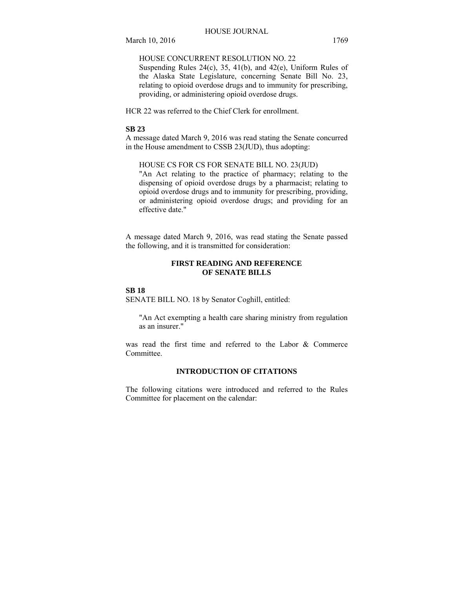## HOUSE CONCURRENT RESOLUTION NO. 22

Suspending Rules 24(c), 35, 41(b), and 42(e), Uniform Rules of the Alaska State Legislature, concerning Senate Bill No. 23, relating to opioid overdose drugs and to immunity for prescribing, providing, or administering opioid overdose drugs.

HCR 22 was referred to the Chief Clerk for enrollment.

#### **SB 23**

A message dated March 9, 2016 was read stating the Senate concurred in the House amendment to CSSB 23(JUD), thus adopting:

HOUSE CS FOR CS FOR SENATE BILL NO. 23(JUD)

"An Act relating to the practice of pharmacy; relating to the dispensing of opioid overdose drugs by a pharmacist; relating to opioid overdose drugs and to immunity for prescribing, providing, or administering opioid overdose drugs; and providing for an effective date."

A message dated March 9, 2016, was read stating the Senate passed the following, and it is transmitted for consideration:

# **FIRST READING AND REFERENCE OF SENATE BILLS**

#### **SB 18**

SENATE BILL NO. 18 by Senator Coghill, entitled:

"An Act exempting a health care sharing ministry from regulation as an insurer."

was read the first time and referred to the Labor & Commerce Committee.

#### **INTRODUCTION OF CITATIONS**

The following citations were introduced and referred to the Rules Committee for placement on the calendar: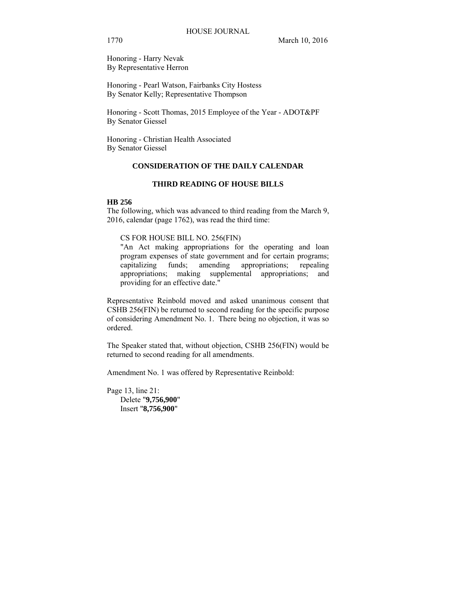Honoring - Harry Nevak By Representative Herron

Honoring - Pearl Watson, Fairbanks City Hostess By Senator Kelly; Representative Thompson

Honoring - Scott Thomas, 2015 Employee of the Year - ADOT&PF By Senator Giessel

Honoring - Christian Health Associated By Senator Giessel

# **CONSIDERATION OF THE DAILY CALENDAR**

# **THIRD READING OF HOUSE BILLS**

#### **HB 256**

The following, which was advanced to third reading from the March 9, 2016, calendar (page 1762), was read the third time:

#### CS FOR HOUSE BILL NO. 256(FIN)

"An Act making appropriations for the operating and loan program expenses of state government and for certain programs; capitalizing funds; amending appropriations; repealing appropriations; making supplemental appropriations; and providing for an effective date."

Representative Reinbold moved and asked unanimous consent that CSHB 256(FIN) be returned to second reading for the specific purpose of considering Amendment No. 1. There being no objection, it was so ordered.

The Speaker stated that, without objection, CSHB 256(FIN) would be returned to second reading for all amendments.

Amendment No. 1 was offered by Representative Reinbold:

Page 13, line 21: Delete "**9,756,900**" Insert "**8,756,900**"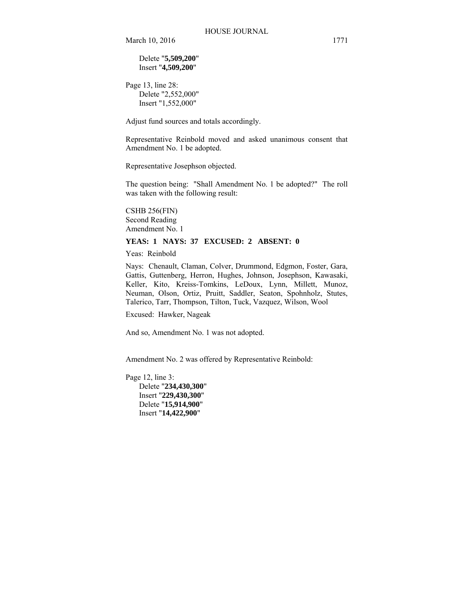Delete "**5,509,200**" Insert "**4,509,200**"

Page 13, line 28: Delete "2,552,000" Insert "1,552,000"

Adjust fund sources and totals accordingly.

Representative Reinbold moved and asked unanimous consent that Amendment No. 1 be adopted.

Representative Josephson objected.

The question being: "Shall Amendment No. 1 be adopted?" The roll was taken with the following result:

CSHB 256(FIN) Second Reading Amendment No. 1

# **YEAS: 1 NAYS: 37 EXCUSED: 2 ABSENT: 0**

Yeas: Reinbold

Nays: Chenault, Claman, Colver, Drummond, Edgmon, Foster, Gara, Gattis, Guttenberg, Herron, Hughes, Johnson, Josephson, Kawasaki, Keller, Kito, Kreiss-Tomkins, LeDoux, Lynn, Millett, Munoz, Neuman, Olson, Ortiz, Pruitt, Saddler, Seaton, Spohnholz, Stutes, Talerico, Tarr, Thompson, Tilton, Tuck, Vazquez, Wilson, Wool

Excused: Hawker, Nageak

And so, Amendment No. 1 was not adopted.

Amendment No. 2 was offered by Representative Reinbold:

Page 12, line 3: Delete "**234,430,300**" Insert "**229,430,300**" Delete "**15,914,900**" Insert "**14,422,900**"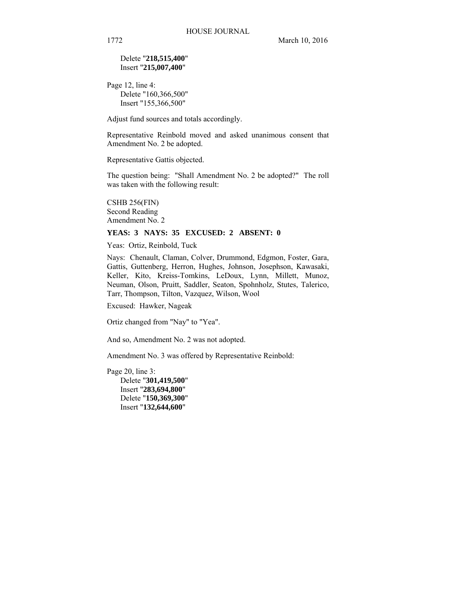Delete "**218,515,400**" Insert "**215,007,400**"

Page 12, line 4: Delete "160,366,500" Insert "155,366,500"

Adjust fund sources and totals accordingly.

Representative Reinbold moved and asked unanimous consent that Amendment No. 2 be adopted.

Representative Gattis objected.

The question being: "Shall Amendment No. 2 be adopted?" The roll was taken with the following result:

CSHB 256(FIN) Second Reading Amendment No. 2

# **YEAS: 3 NAYS: 35 EXCUSED: 2 ABSENT: 0**

Yeas: Ortiz, Reinbold, Tuck

Nays: Chenault, Claman, Colver, Drummond, Edgmon, Foster, Gara, Gattis, Guttenberg, Herron, Hughes, Johnson, Josephson, Kawasaki, Keller, Kito, Kreiss-Tomkins, LeDoux, Lynn, Millett, Munoz, Neuman, Olson, Pruitt, Saddler, Seaton, Spohnholz, Stutes, Talerico, Tarr, Thompson, Tilton, Vazquez, Wilson, Wool

Excused: Hawker, Nageak

Ortiz changed from "Nay" to "Yea".

And so, Amendment No. 2 was not adopted.

Amendment No. 3 was offered by Representative Reinbold:

Page 20, line 3: Delete "**301,419,500**" Insert "**283,694,800**" Delete "**150,369,300**" Insert "**132,644,600**"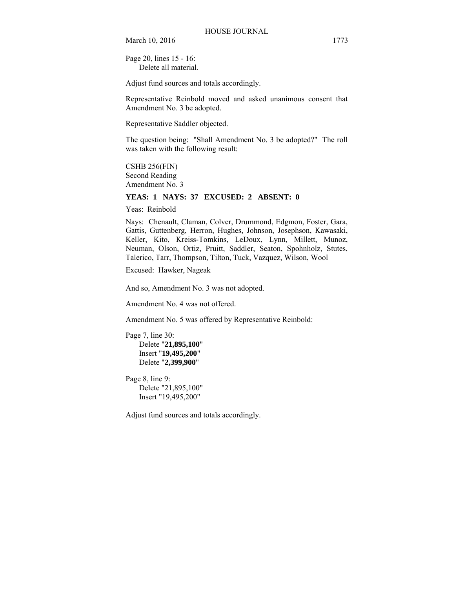Page 20, lines 15 - 16: Delete all material.

Adjust fund sources and totals accordingly.

Representative Reinbold moved and asked unanimous consent that Amendment No. 3 be adopted.

Representative Saddler objected.

The question being: "Shall Amendment No. 3 be adopted?" The roll was taken with the following result:

CSHB 256(FIN) Second Reading Amendment No. 3

# **YEAS: 1 NAYS: 37 EXCUSED: 2 ABSENT: 0**

Yeas: Reinbold

Nays: Chenault, Claman, Colver, Drummond, Edgmon, Foster, Gara, Gattis, Guttenberg, Herron, Hughes, Johnson, Josephson, Kawasaki, Keller, Kito, Kreiss-Tomkins, LeDoux, Lynn, Millett, Munoz, Neuman, Olson, Ortiz, Pruitt, Saddler, Seaton, Spohnholz, Stutes, Talerico, Tarr, Thompson, Tilton, Tuck, Vazquez, Wilson, Wool

Excused: Hawker, Nageak

And so, Amendment No. 3 was not adopted.

Amendment No. 4 was not offered.

Amendment No. 5 was offered by Representative Reinbold:

Page 7, line 30: Delete "**21,895,100**" Insert "**19,495,200**" Delete "**2,399,900**"

Page 8, line 9: Delete "21,895,100" Insert "19,495,200"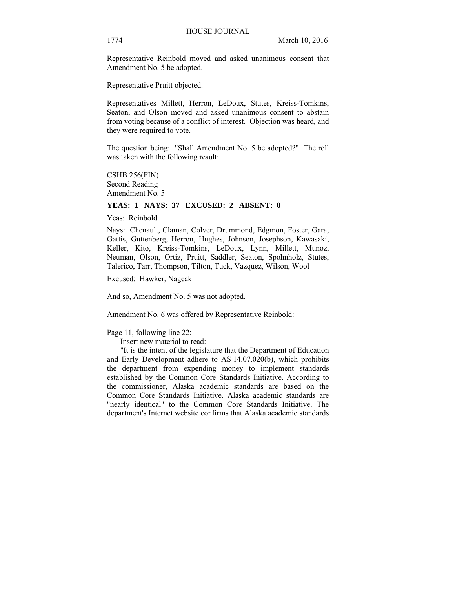Representative Reinbold moved and asked unanimous consent that Amendment No. 5 be adopted.

Representative Pruitt objected.

Representatives Millett, Herron, LeDoux, Stutes, Kreiss-Tomkins, Seaton, and Olson moved and asked unanimous consent to abstain from voting because of a conflict of interest. Objection was heard, and they were required to vote.

The question being: "Shall Amendment No. 5 be adopted?" The roll was taken with the following result:

CSHB 256(FIN) Second Reading Amendment No. 5

# **YEAS: 1 NAYS: 37 EXCUSED: 2 ABSENT: 0**

Yeas: Reinbold

Nays: Chenault, Claman, Colver, Drummond, Edgmon, Foster, Gara, Gattis, Guttenberg, Herron, Hughes, Johnson, Josephson, Kawasaki, Keller, Kito, Kreiss-Tomkins, LeDoux, Lynn, Millett, Munoz, Neuman, Olson, Ortiz, Pruitt, Saddler, Seaton, Spohnholz, Stutes, Talerico, Tarr, Thompson, Tilton, Tuck, Vazquez, Wilson, Wool

Excused: Hawker, Nageak

And so, Amendment No. 5 was not adopted.

Amendment No. 6 was offered by Representative Reinbold:

## Page 11, following line 22:

Insert new material to read:

"It is the intent of the legislature that the Department of Education and Early Development adhere to AS 14.07.020(b), which prohibits the department from expending money to implement standards established by the Common Core Standards Initiative. According to the commissioner, Alaska academic standards are based on the Common Core Standards Initiative. Alaska academic standards are "nearly identical" to the Common Core Standards Initiative. The department's Internet website confirms that Alaska academic standards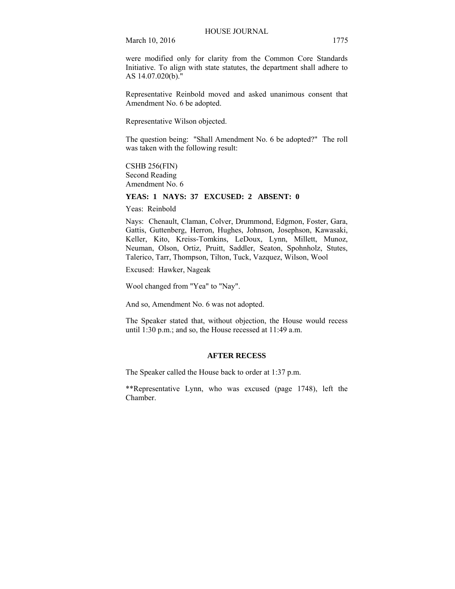were modified only for clarity from the Common Core Standards Initiative. To align with state statutes, the department shall adhere to AS 14.07.020(b)."

Representative Reinbold moved and asked unanimous consent that Amendment No. 6 be adopted.

Representative Wilson objected.

The question being: "Shall Amendment No. 6 be adopted?" The roll was taken with the following result:

CSHB 256(FIN) Second Reading Amendment No. 6

# **YEAS: 1 NAYS: 37 EXCUSED: 2 ABSENT: 0**

Yeas: Reinbold

Nays: Chenault, Claman, Colver, Drummond, Edgmon, Foster, Gara, Gattis, Guttenberg, Herron, Hughes, Johnson, Josephson, Kawasaki, Keller, Kito, Kreiss-Tomkins, LeDoux, Lynn, Millett, Munoz, Neuman, Olson, Ortiz, Pruitt, Saddler, Seaton, Spohnholz, Stutes, Talerico, Tarr, Thompson, Tilton, Tuck, Vazquez, Wilson, Wool

Excused: Hawker, Nageak

Wool changed from "Yea" to "Nay".

And so, Amendment No. 6 was not adopted.

The Speaker stated that, without objection, the House would recess until 1:30 p.m.; and so, the House recessed at 11:49 a.m.

## **AFTER RECESS**

The Speaker called the House back to order at 1:37 p.m.

\*\*Representative Lynn, who was excused (page 1748), left the Chamber.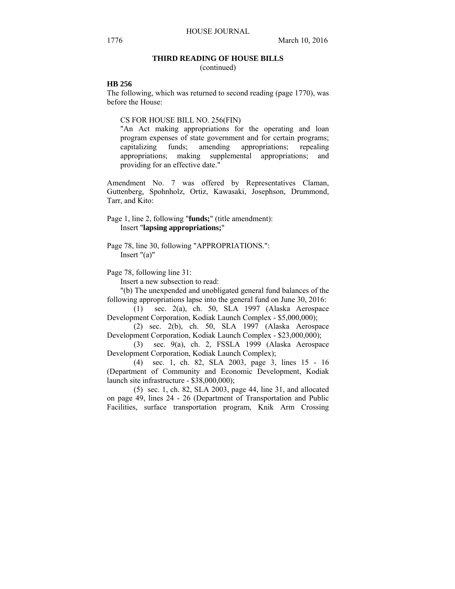## **THIRD READING OF HOUSE BILLS**

(continued)

## **HB 256**

The following, which was returned to second reading (page 1770), was before the House:

CS FOR HOUSE BILL NO. 256(FIN)

"An Act making appropriations for the operating and loan program expenses of state government and for certain programs; capitalizing funds; amending appropriations; repealing appropriations; making supplemental appropriations; and providing for an effective date."

Amendment No. 7 was offered by Representatives Claman, Guttenberg, Spohnholz, Ortiz, Kawasaki, Josephson, Drummond, Tarr, and Kito:

Page 1, line 2, following "**funds;**" (title amendment): Insert "**lapsing appropriations;**"

Page 78, line 30, following "APPROPRIATIONS.": Insert "(a)"

## Page 78, following line 31:

Insert a new subsection to read:

"(b) The unexpended and unobligated general fund balances of the following appropriations lapse into the general fund on June 30, 2016:

(1) sec. 2(a), ch. 50, SLA 1997 (Alaska Aerospace Development Corporation, Kodiak Launch Complex - \$5,000,000);

(2) sec. 2(b), ch. 50, SLA 1997 (Alaska Aerospace Development Corporation, Kodiak Launch Complex - \$23,000,000);

(3) sec. 9(a), ch. 2, FSSLA 1999 (Alaska Aerospace Development Corporation, Kodiak Launch Complex);

(4) sec. 1, ch. 82, SLA 2003, page 3, lines 15 - 16 (Department of Community and Economic Development, Kodiak launch site infrastructure - \$38,000,000);

(5) sec. 1, ch. 82, SLA 2003, page 44, line 31, and allocated on page 49, lines 24 - 26 (Department of Transportation and Public Facilities, surface transportation program, Knik Arm Crossing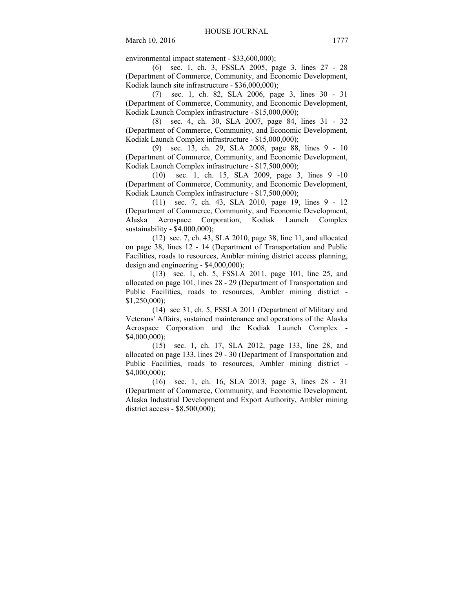environmental impact statement - \$33,600,000);

(6) sec. 1, ch. 3, FSSLA 2005, page 3, lines 27 - 28 (Department of Commerce, Community, and Economic Development, Kodiak launch site infrastructure - \$36,000,000);

(7) sec. 1, ch. 82, SLA 2006, page 3, lines 30 - 31 (Department of Commerce, Community, and Economic Development, Kodiak Launch Complex infrastructure - \$15,000,000);

(8) sec. 4, ch. 30, SLA 2007, page 84, lines 31 - 32 (Department of Commerce, Community, and Economic Development, Kodiak Launch Complex infrastructure - \$15,000,000);

(9) sec. 13, ch. 29, SLA 2008, page 88, lines 9 - 10 (Department of Commerce, Community, and Economic Development, Kodiak Launch Complex infrastructure - \$17,500,000);

(10) sec. 1, ch. 15, SLA 2009, page 3, lines 9 -10 (Department of Commerce, Community, and Economic Development, Kodiak Launch Complex infrastructure - \$17,500,000);

(11) sec. 7, ch. 43, SLA 2010, page 19, lines 9 - 12 (Department of Commerce, Community, and Economic Development, Alaska Aerospace Corporation, Kodiak Launch Complex sustainability - \$4,000,000);

(12) sec. 7, ch. 43, SLA 2010, page 38, line 11, and allocated on page 38, lines 12 - 14 (Department of Transportation and Public Facilities, roads to resources, Ambler mining district access planning, design and engineering - \$4,000,000);

(13) sec. 1, ch. 5, FSSLA 2011, page 101, line 25, and allocated on page 101, lines 28 - 29 (Department of Transportation and Public Facilities, roads to resources, Ambler mining district - \$1,250,000);

(14) sec 31, ch. 5, FSSLA 2011 (Department of Military and Veterans' Affairs, sustained maintenance and operations of the Alaska Aerospace Corporation and the Kodiak Launch Complex - \$4,000,000);

(15) sec. 1, ch. 17, SLA 2012, page 133, line 28, and allocated on page 133, lines 29 - 30 (Department of Transportation and Public Facilities, roads to resources, Ambler mining district - \$4,000,000);

(16) sec. 1, ch. 16, SLA 2013, page 3, lines 28 - 31 (Department of Commerce, Community, and Economic Development, Alaska Industrial Development and Export Authority, Ambler mining district access - \$8,500,000);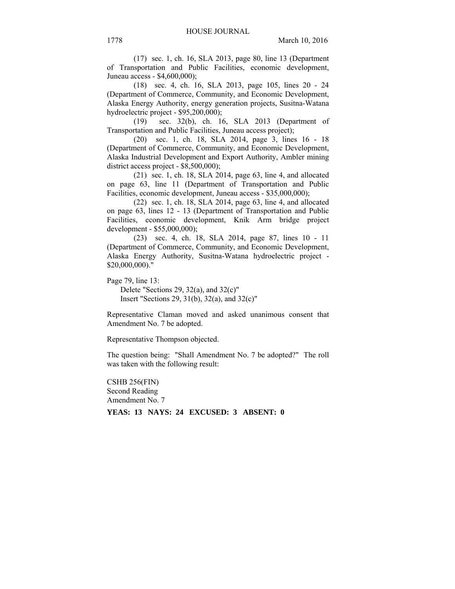(17) sec. 1, ch. 16, SLA 2013, page 80, line 13 (Department of Transportation and Public Facilities, economic development, Juneau access - \$4,600,000);

(18) sec. 4, ch. 16, SLA 2013, page 105, lines 20 - 24 (Department of Commerce, Community, and Economic Development, Alaska Energy Authority, energy generation projects, Susitna-Watana hydroelectric project - \$95,200,000);

(19) sec. 32(b), ch. 16, SLA 2013 (Department of Transportation and Public Facilities, Juneau access project);

(20) sec. 1, ch. 18, SLA 2014, page 3, lines 16 - 18 (Department of Commerce, Community, and Economic Development, Alaska Industrial Development and Export Authority, Ambler mining district access project - \$8,500,000);

(21) sec. 1, ch. 18, SLA 2014, page 63, line 4, and allocated on page 63, line 11 (Department of Transportation and Public Facilities, economic development, Juneau access - \$35,000,000);

(22) sec. 1, ch. 18, SLA 2014, page 63, line 4, and allocated on page 63, lines 12 - 13 (Department of Transportation and Public Facilities, economic development, Knik Arm bridge project development - \$55,000,000);

(23) sec. 4, ch. 18, SLA 2014, page 87, lines 10 - 11 (Department of Commerce, Community, and Economic Development, Alaska Energy Authority, Susitna-Watana hydroelectric project - \$20,000,000)."

Page 79, line 13:

Delete "Sections 29, 32(a), and 32(c)" Insert "Sections 29, 31(b), 32(a), and 32(c)"

Representative Claman moved and asked unanimous consent that Amendment No. 7 be adopted.

Representative Thompson objected.

The question being: "Shall Amendment No. 7 be adopted?" The roll was taken with the following result:

CSHB 256(FIN) Second Reading Amendment No. 7

**YEAS: 13 NAYS: 24 EXCUSED: 3 ABSENT: 0**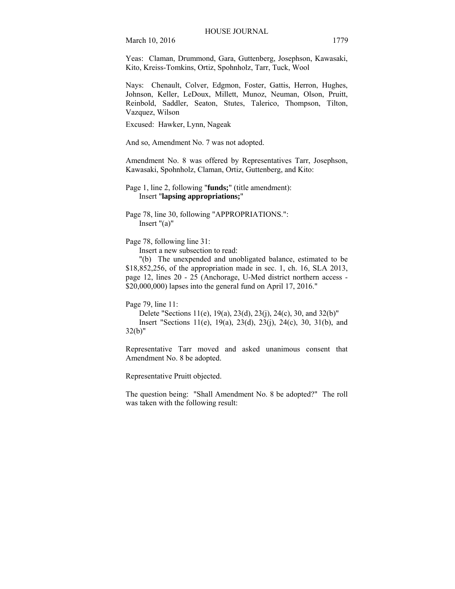Yeas: Claman, Drummond, Gara, Guttenberg, Josephson, Kawasaki, Kito, Kreiss-Tomkins, Ortiz, Spohnholz, Tarr, Tuck, Wool

Nays: Chenault, Colver, Edgmon, Foster, Gattis, Herron, Hughes, Johnson, Keller, LeDoux, Millett, Munoz, Neuman, Olson, Pruitt, Reinbold, Saddler, Seaton, Stutes, Talerico, Thompson, Tilton, Vazquez, Wilson

Excused: Hawker, Lynn, Nageak

And so, Amendment No. 7 was not adopted.

Amendment No. 8 was offered by Representatives Tarr, Josephson, Kawasaki, Spohnholz, Claman, Ortiz, Guttenberg, and Kito:

Page 1, line 2, following "**funds;**" (title amendment): Insert "**lapsing appropriations;**"

Page 78, line 30, following "APPROPRIATIONS.": Insert "(a)"

Page 78, following line 31:

Insert a new subsection to read:

"(b) The unexpended and unobligated balance, estimated to be \$18,852,256, of the appropriation made in sec. 1, ch. 16, SLA 2013, page 12, lines 20 - 25 (Anchorage, U-Med district northern access - \$20,000,000) lapses into the general fund on April 17, 2016."

Page 79, line 11:

Delete "Sections 11(e), 19(a), 23(d), 23(j), 24(c), 30, and 32(b)"

Insert "Sections 11(e), 19(a), 23(d), 23(j), 24(c), 30, 31(b), and 32(b)"

Representative Tarr moved and asked unanimous consent that Amendment No. 8 be adopted.

Representative Pruitt objected.

The question being: "Shall Amendment No. 8 be adopted?" The roll was taken with the following result: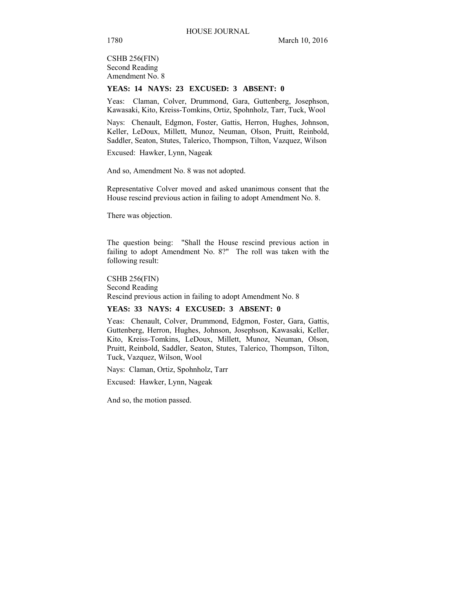CSHB 256(FIN) Second Reading Amendment No. 8

#### **YEAS: 14 NAYS: 23 EXCUSED: 3 ABSENT: 0**

Yeas: Claman, Colver, Drummond, Gara, Guttenberg, Josephson, Kawasaki, Kito, Kreiss-Tomkins, Ortiz, Spohnholz, Tarr, Tuck, Wool

Nays: Chenault, Edgmon, Foster, Gattis, Herron, Hughes, Johnson, Keller, LeDoux, Millett, Munoz, Neuman, Olson, Pruitt, Reinbold, Saddler, Seaton, Stutes, Talerico, Thompson, Tilton, Vazquez, Wilson

Excused: Hawker, Lynn, Nageak

And so, Amendment No. 8 was not adopted.

Representative Colver moved and asked unanimous consent that the House rescind previous action in failing to adopt Amendment No. 8.

There was objection.

The question being: "Shall the House rescind previous action in failing to adopt Amendment No. 8?" The roll was taken with the following result:

CSHB 256(FIN) Second Reading Rescind previous action in failing to adopt Amendment No. 8

# **YEAS: 33 NAYS: 4 EXCUSED: 3 ABSENT: 0**

Yeas: Chenault, Colver, Drummond, Edgmon, Foster, Gara, Gattis, Guttenberg, Herron, Hughes, Johnson, Josephson, Kawasaki, Keller, Kito, Kreiss-Tomkins, LeDoux, Millett, Munoz, Neuman, Olson, Pruitt, Reinbold, Saddler, Seaton, Stutes, Talerico, Thompson, Tilton, Tuck, Vazquez, Wilson, Wool

Nays: Claman, Ortiz, Spohnholz, Tarr

Excused: Hawker, Lynn, Nageak

And so, the motion passed.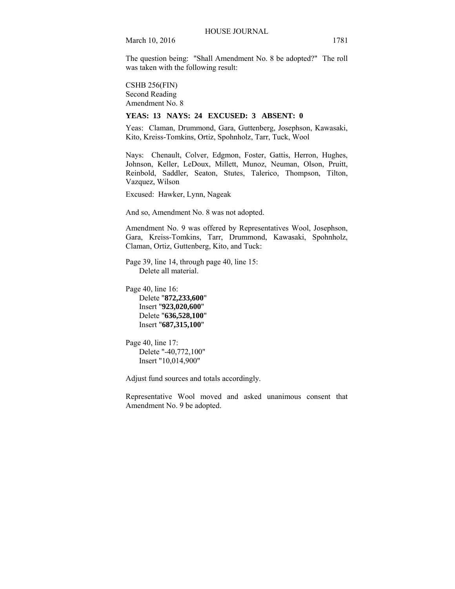The question being: "Shall Amendment No. 8 be adopted?" The roll was taken with the following result:

CSHB 256(FIN) Second Reading Amendment No. 8

## **YEAS: 13 NAYS: 24 EXCUSED: 3 ABSENT: 0**

Yeas: Claman, Drummond, Gara, Guttenberg, Josephson, Kawasaki, Kito, Kreiss-Tomkins, Ortiz, Spohnholz, Tarr, Tuck, Wool

Nays: Chenault, Colver, Edgmon, Foster, Gattis, Herron, Hughes, Johnson, Keller, LeDoux, Millett, Munoz, Neuman, Olson, Pruitt, Reinbold, Saddler, Seaton, Stutes, Talerico, Thompson, Tilton, Vazquez, Wilson

Excused: Hawker, Lynn, Nageak

And so, Amendment No. 8 was not adopted.

Amendment No. 9 was offered by Representatives Wool, Josephson, Gara, Kreiss-Tomkins, Tarr, Drummond, Kawasaki, Spohnholz, Claman, Ortiz, Guttenberg, Kito, and Tuck:

Page 39, line 14, through page 40, line 15: Delete all material.

Page 40, line 16:

Delete "**872,233,600**" Insert "**923,020,600**" Delete "**636,528,100**" Insert "**687,315,100**"

Page 40, line 17: Delete "-40,772,100" Insert "10,014,900"

Adjust fund sources and totals accordingly.

Representative Wool moved and asked unanimous consent that Amendment No. 9 be adopted.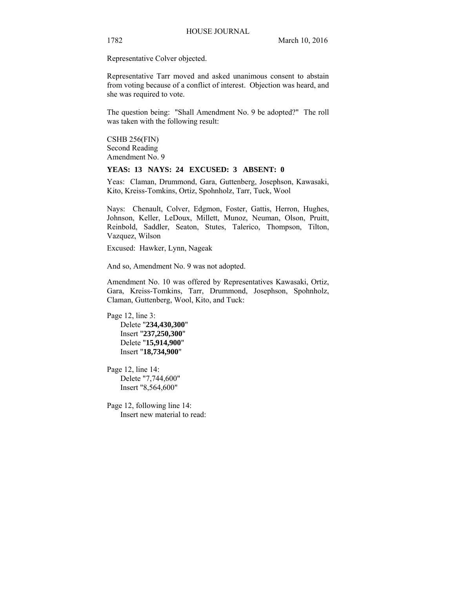1782 March 10, 2016

Representative Colver objected.

Representative Tarr moved and asked unanimous consent to abstain from voting because of a conflict of interest. Objection was heard, and she was required to vote.

The question being: "Shall Amendment No. 9 be adopted?" The roll was taken with the following result:

CSHB 256(FIN) Second Reading Amendment No. 9

## **YEAS: 13 NAYS: 24 EXCUSED: 3 ABSENT: 0**

Yeas: Claman, Drummond, Gara, Guttenberg, Josephson, Kawasaki, Kito, Kreiss-Tomkins, Ortiz, Spohnholz, Tarr, Tuck, Wool

Nays: Chenault, Colver, Edgmon, Foster, Gattis, Herron, Hughes, Johnson, Keller, LeDoux, Millett, Munoz, Neuman, Olson, Pruitt, Reinbold, Saddler, Seaton, Stutes, Talerico, Thompson, Tilton, Vazquez, Wilson

Excused: Hawker, Lynn, Nageak

And so, Amendment No. 9 was not adopted.

Amendment No. 10 was offered by Representatives Kawasaki, Ortiz, Gara, Kreiss-Tomkins, Tarr, Drummond, Josephson, Spohnholz, Claman, Guttenberg, Wool, Kito, and Tuck:

Page 12, line 3: Delete "**234,430,300**" Insert "**237,250,300**" Delete "**15,914,900**" Insert "**18,734,900**"

Page 12, line 14: Delete "7,744,600" Insert "8,564,600"

Page 12, following line 14: Insert new material to read: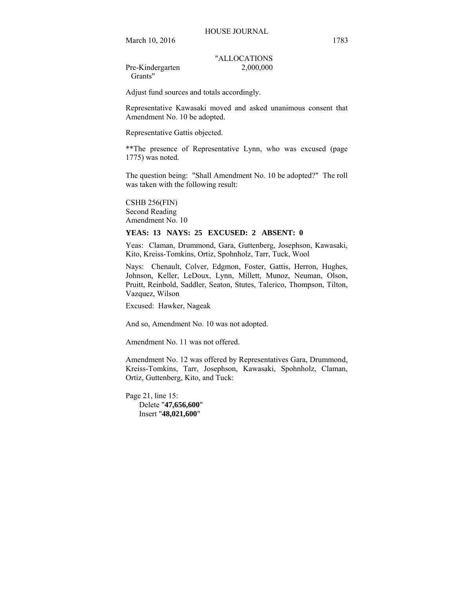# "ALLOCATIONS Pre-Kindergarten 2,000,000

Grants"

Adjust fund sources and totals accordingly.

Representative Kawasaki moved and asked unanimous consent that Amendment No. 10 be adopted.

Representative Gattis objected.

\*\*The presence of Representative Lynn, who was excused (page 1775) was noted.

The question being: "Shall Amendment No. 10 be adopted?" The roll was taken with the following result:

CSHB 256(FIN) Second Reading Amendment No. 10

# **YEAS: 13 NAYS: 25 EXCUSED: 2 ABSENT: 0**

Yeas: Claman, Drummond, Gara, Guttenberg, Josephson, Kawasaki, Kito, Kreiss-Tomkins, Ortiz, Spohnholz, Tarr, Tuck, Wool

Nays: Chenault, Colver, Edgmon, Foster, Gattis, Herron, Hughes, Johnson, Keller, LeDoux, Lynn, Millett, Munoz, Neuman, Olson, Pruitt, Reinbold, Saddler, Seaton, Stutes, Talerico, Thompson, Tilton, Vazquez, Wilson

Excused: Hawker, Nageak

And so, Amendment No. 10 was not adopted.

Amendment No. 11 was not offered.

Amendment No. 12 was offered by Representatives Gara, Drummond, Kreiss-Tomkins, Tarr, Josephson, Kawasaki, Spohnholz, Claman, Ortiz, Guttenberg, Kito, and Tuck:

Page 21, line 15: Delete "**47,656,600**" Insert "**48,021,600**"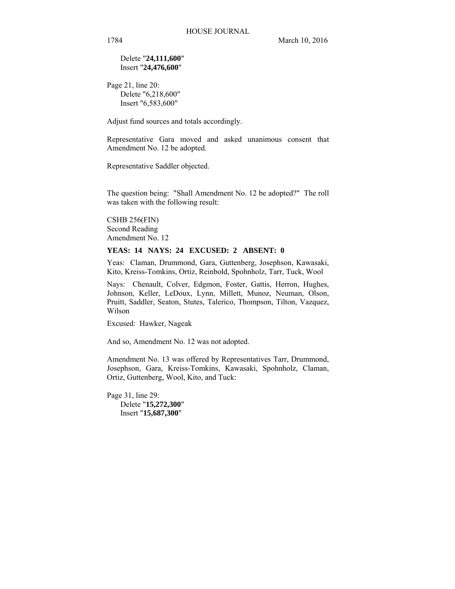Delete "**24,111,600**" Insert "**24,476,600**"

Page 21, line 20: Delete "6,218,600" Insert "6,583,600"

Adjust fund sources and totals accordingly.

Representative Gara moved and asked unanimous consent that Amendment No. 12 be adopted.

Representative Saddler objected.

The question being: "Shall Amendment No. 12 be adopted?" The roll was taken with the following result:

CSHB 256(FIN) Second Reading Amendment No. 12

#### **YEAS: 14 NAYS: 24 EXCUSED: 2 ABSENT: 0**

Yeas: Claman, Drummond, Gara, Guttenberg, Josephson, Kawasaki, Kito, Kreiss-Tomkins, Ortiz, Reinbold, Spohnholz, Tarr, Tuck, Wool

Nays: Chenault, Colver, Edgmon, Foster, Gattis, Herron, Hughes, Johnson, Keller, LeDoux, Lynn, Millett, Munoz, Neuman, Olson, Pruitt, Saddler, Seaton, Stutes, Talerico, Thompson, Tilton, Vazquez, Wilson

Excused: Hawker, Nageak

And so, Amendment No. 12 was not adopted.

Amendment No. 13 was offered by Representatives Tarr, Drummond, Josephson, Gara, Kreiss-Tomkins, Kawasaki, Spohnholz, Claman, Ortiz, Guttenberg, Wool, Kito, and Tuck:

Page 31, line 29: Delete "**15,272,300**" Insert "**15,687,300**"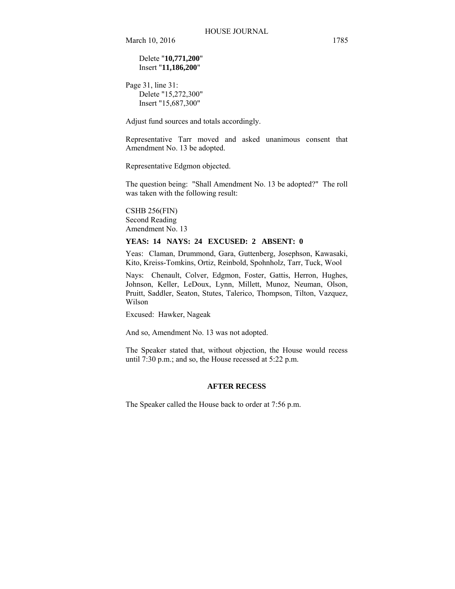Delete "**10,771,200**" Insert "**11,186,200**"

Page 31, line 31: Delete "15,272,300" Insert "15,687,300"

Adjust fund sources and totals accordingly.

Representative Tarr moved and asked unanimous consent that Amendment No. 13 be adopted.

Representative Edgmon objected.

The question being: "Shall Amendment No. 13 be adopted?" The roll was taken with the following result:

CSHB 256(FIN) Second Reading Amendment No. 13

#### **YEAS: 14 NAYS: 24 EXCUSED: 2 ABSENT: 0**

Yeas: Claman, Drummond, Gara, Guttenberg, Josephson, Kawasaki, Kito, Kreiss-Tomkins, Ortiz, Reinbold, Spohnholz, Tarr, Tuck, Wool

Nays: Chenault, Colver, Edgmon, Foster, Gattis, Herron, Hughes, Johnson, Keller, LeDoux, Lynn, Millett, Munoz, Neuman, Olson, Pruitt, Saddler, Seaton, Stutes, Talerico, Thompson, Tilton, Vazquez, Wilson

Excused: Hawker, Nageak

And so, Amendment No. 13 was not adopted.

The Speaker stated that, without objection, the House would recess until 7:30 p.m.; and so, the House recessed at 5:22 p.m.

## **AFTER RECESS**

The Speaker called the House back to order at 7:56 p.m.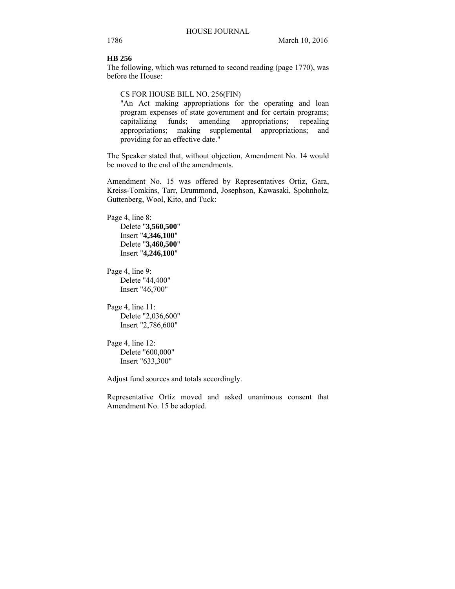### **HB 256**

The following, which was returned to second reading (page 1770), was before the House:

CS FOR HOUSE BILL NO. 256(FIN)

"An Act making appropriations for the operating and loan program expenses of state government and for certain programs; capitalizing funds; amending appropriations; repealing appropriations; making supplemental appropriations; and providing for an effective date."

The Speaker stated that, without objection, Amendment No. 14 would be moved to the end of the amendments.

Amendment No. 15 was offered by Representatives Ortiz, Gara, Kreiss-Tomkins, Tarr, Drummond, Josephson, Kawasaki, Spohnholz, Guttenberg, Wool, Kito, and Tuck:

Page 4, line 8:

Delete "**3,560,500**" Insert "**4,346,100**" Delete "**3,460,500**" Insert "**4,246,100**"

Page 4, line 9: Delete "44,400" Insert "46,700"

Page 4, line 11: Delete "2,036,600" Insert "2,786,600"

Page 4, line 12: Delete "600,000" Insert "633,300"

Adjust fund sources and totals accordingly.

Representative Ortiz moved and asked unanimous consent that Amendment No. 15 be adopted.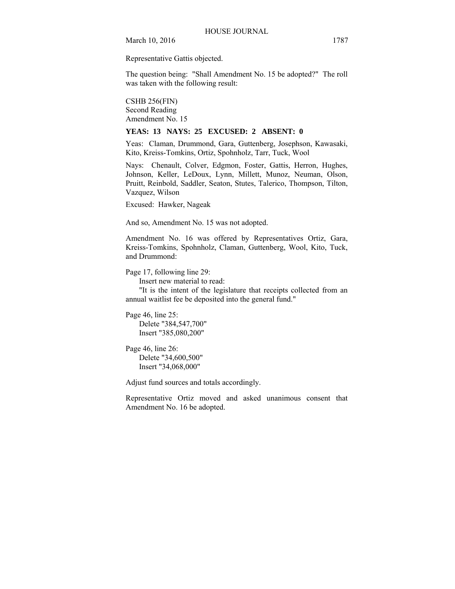Representative Gattis objected.

The question being: "Shall Amendment No. 15 be adopted?" The roll was taken with the following result:

CSHB 256(FIN) Second Reading Amendment No. 15

#### **YEAS: 13 NAYS: 25 EXCUSED: 2 ABSENT: 0**

Yeas: Claman, Drummond, Gara, Guttenberg, Josephson, Kawasaki, Kito, Kreiss-Tomkins, Ortiz, Spohnholz, Tarr, Tuck, Wool

Nays: Chenault, Colver, Edgmon, Foster, Gattis, Herron, Hughes, Johnson, Keller, LeDoux, Lynn, Millett, Munoz, Neuman, Olson, Pruitt, Reinbold, Saddler, Seaton, Stutes, Talerico, Thompson, Tilton, Vazquez, Wilson

Excused: Hawker, Nageak

And so, Amendment No. 15 was not adopted.

Amendment No. 16 was offered by Representatives Ortiz, Gara, Kreiss-Tomkins, Spohnholz, Claman, Guttenberg, Wool, Kito, Tuck, and Drummond:

Page 17, following line 29:

Insert new material to read:

"It is the intent of the legislature that receipts collected from an annual waitlist fee be deposited into the general fund."

```
Page 46, line 25: 
Delete "384,547,700" 
Insert "385,080,200"
```
Page 46, line 26: Delete "34,600,500" Insert "34,068,000"

Adjust fund sources and totals accordingly.

Representative Ortiz moved and asked unanimous consent that Amendment No. 16 be adopted.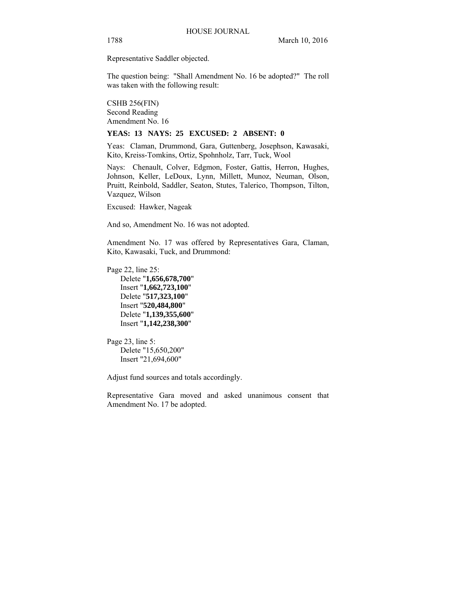Representative Saddler objected.

The question being: "Shall Amendment No. 16 be adopted?" The roll was taken with the following result:

CSHB 256(FIN) Second Reading Amendment No. 16

#### **YEAS: 13 NAYS: 25 EXCUSED: 2 ABSENT: 0**

Yeas: Claman, Drummond, Gara, Guttenberg, Josephson, Kawasaki, Kito, Kreiss-Tomkins, Ortiz, Spohnholz, Tarr, Tuck, Wool

Nays: Chenault, Colver, Edgmon, Foster, Gattis, Herron, Hughes, Johnson, Keller, LeDoux, Lynn, Millett, Munoz, Neuman, Olson, Pruitt, Reinbold, Saddler, Seaton, Stutes, Talerico, Thompson, Tilton, Vazquez, Wilson

Excused: Hawker, Nageak

And so, Amendment No. 16 was not adopted.

Amendment No. 17 was offered by Representatives Gara, Claman, Kito, Kawasaki, Tuck, and Drummond:

Page 22, line 25:

Delete "**1,656,678,700**" Insert "**1,662,723,100**" Delete "**517,323,100**" Insert "**520,484,800**" Delete "**1,139,355,600**" Insert "**1,142,238,300**"

Page 23, line 5: Delete "15,650,200" Insert "21,694,600"

Adjust fund sources and totals accordingly.

Representative Gara moved and asked unanimous consent that Amendment No. 17 be adopted.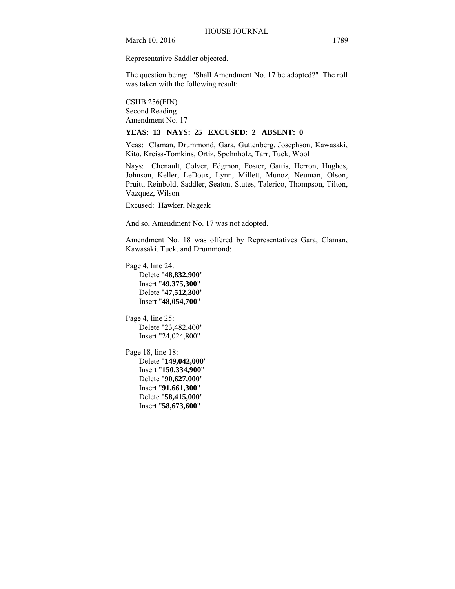Representative Saddler objected.

The question being: "Shall Amendment No. 17 be adopted?" The roll was taken with the following result:

CSHB 256(FIN) Second Reading Amendment No. 17

#### **YEAS: 13 NAYS: 25 EXCUSED: 2 ABSENT: 0**

Yeas: Claman, Drummond, Gara, Guttenberg, Josephson, Kawasaki, Kito, Kreiss-Tomkins, Ortiz, Spohnholz, Tarr, Tuck, Wool

Nays: Chenault, Colver, Edgmon, Foster, Gattis, Herron, Hughes, Johnson, Keller, LeDoux, Lynn, Millett, Munoz, Neuman, Olson, Pruitt, Reinbold, Saddler, Seaton, Stutes, Talerico, Thompson, Tilton, Vazquez, Wilson

Excused: Hawker, Nageak

And so, Amendment No. 17 was not adopted.

Amendment No. 18 was offered by Representatives Gara, Claman, Kawasaki, Tuck, and Drummond:

Page 4, line 24:

Delete "**48,832,900**" Insert "**49,375,300**" Delete "**47,512,300**" Insert "**48,054,700**"

Page 4, line 25: Delete "23,482,400" Insert "24,024,800"

Page 18, line 18: Delete "**149,042,000**" Insert "**150,334,900**" Delete "**90,627,000**" Insert "**91,661,300**" Delete "**58,415,000**" Insert "**58,673,600**"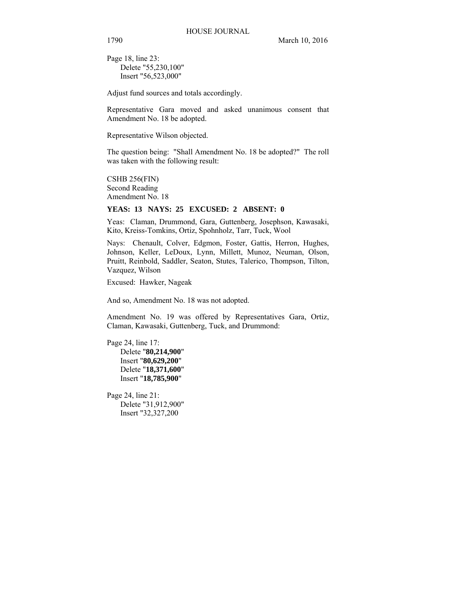Page 18, line 23: Delete "55,230,100" Insert "56,523,000"

Adjust fund sources and totals accordingly.

Representative Gara moved and asked unanimous consent that Amendment No. 18 be adopted.

Representative Wilson objected.

The question being: "Shall Amendment No. 18 be adopted?" The roll was taken with the following result:

CSHB 256(FIN) Second Reading Amendment No. 18

#### **YEAS: 13 NAYS: 25 EXCUSED: 2 ABSENT: 0**

Yeas: Claman, Drummond, Gara, Guttenberg, Josephson, Kawasaki, Kito, Kreiss-Tomkins, Ortiz, Spohnholz, Tarr, Tuck, Wool

Nays: Chenault, Colver, Edgmon, Foster, Gattis, Herron, Hughes, Johnson, Keller, LeDoux, Lynn, Millett, Munoz, Neuman, Olson, Pruitt, Reinbold, Saddler, Seaton, Stutes, Talerico, Thompson, Tilton, Vazquez, Wilson

Excused: Hawker, Nageak

And so, Amendment No. 18 was not adopted.

Amendment No. 19 was offered by Representatives Gara, Ortiz, Claman, Kawasaki, Guttenberg, Tuck, and Drummond:

Page 24, line 17: Delete "**80,214,900**" Insert "**80,629,200**" Delete "**18,371,600**" Insert "**18,785,900**"

Page 24, line 21: Delete "31,912,900" Insert "32,327,200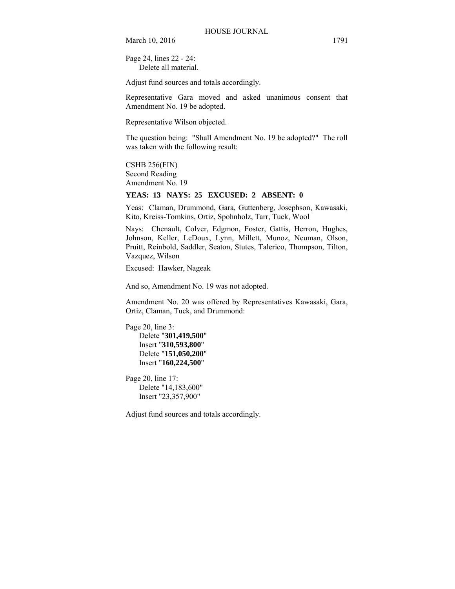Page 24, lines 22 - 24: Delete all material.

Adjust fund sources and totals accordingly.

Representative Gara moved and asked unanimous consent that Amendment No. 19 be adopted.

Representative Wilson objected.

The question being: "Shall Amendment No. 19 be adopted?" The roll was taken with the following result:

CSHB 256(FIN) Second Reading Amendment No. 19

#### **YEAS: 13 NAYS: 25 EXCUSED: 2 ABSENT: 0**

Yeas: Claman, Drummond, Gara, Guttenberg, Josephson, Kawasaki, Kito, Kreiss-Tomkins, Ortiz, Spohnholz, Tarr, Tuck, Wool

Nays: Chenault, Colver, Edgmon, Foster, Gattis, Herron, Hughes, Johnson, Keller, LeDoux, Lynn, Millett, Munoz, Neuman, Olson, Pruitt, Reinbold, Saddler, Seaton, Stutes, Talerico, Thompson, Tilton, Vazquez, Wilson

Excused: Hawker, Nageak

And so, Amendment No. 19 was not adopted.

Amendment No. 20 was offered by Representatives Kawasaki, Gara, Ortiz, Claman, Tuck, and Drummond:

Page 20, line 3: Delete "**301,419,500**" Insert "**310,593,800**" Delete "**151,050,200**" Insert "**160,224,500**"

Page 20, line 17: Delete "14,183,600" Insert "23,357,900"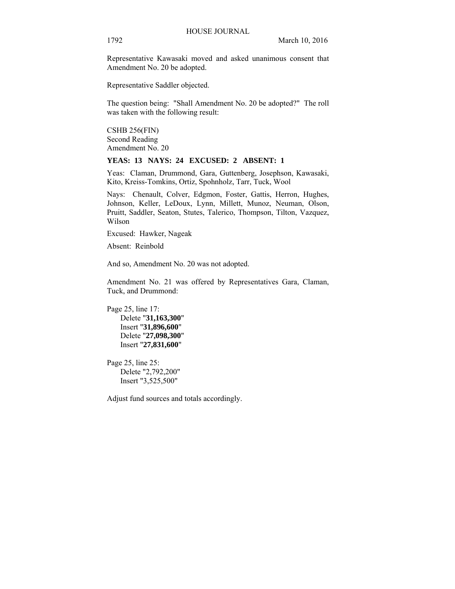Representative Kawasaki moved and asked unanimous consent that Amendment No. 20 be adopted.

Representative Saddler objected.

The question being: "Shall Amendment No. 20 be adopted?" The roll was taken with the following result:

CSHB 256(FIN) Second Reading Amendment No. 20

## **YEAS: 13 NAYS: 24 EXCUSED: 2 ABSENT: 1**

Yeas: Claman, Drummond, Gara, Guttenberg, Josephson, Kawasaki, Kito, Kreiss-Tomkins, Ortiz, Spohnholz, Tarr, Tuck, Wool

Nays: Chenault, Colver, Edgmon, Foster, Gattis, Herron, Hughes, Johnson, Keller, LeDoux, Lynn, Millett, Munoz, Neuman, Olson, Pruitt, Saddler, Seaton, Stutes, Talerico, Thompson, Tilton, Vazquez, Wilson

Excused: Hawker, Nageak

Absent: Reinbold

And so, Amendment No. 20 was not adopted.

Amendment No. 21 was offered by Representatives Gara, Claman, Tuck, and Drummond:

Page 25, line 17: Delete "**31,163,300**" Insert "**31,896,600**" Delete "**27,098,300**" Insert "**27,831,600**"

Page 25, line 25: Delete "2,792,200" Insert "3,525,500"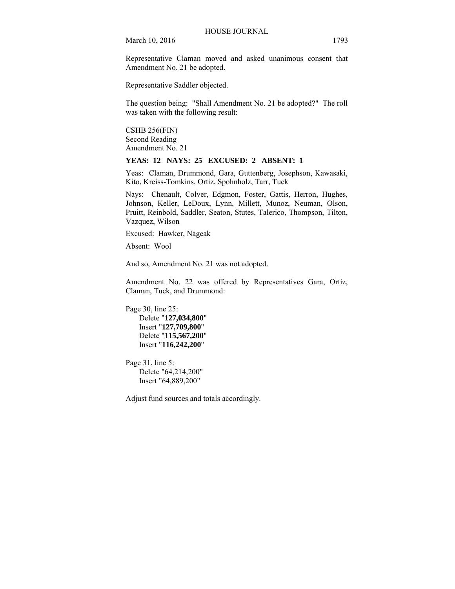Representative Claman moved and asked unanimous consent that Amendment No. 21 be adopted.

Representative Saddler objected.

The question being: "Shall Amendment No. 21 be adopted?" The roll was taken with the following result:

CSHB 256(FIN) Second Reading Amendment No. 21

#### **YEAS: 12 NAYS: 25 EXCUSED: 2 ABSENT: 1**

Yeas: Claman, Drummond, Gara, Guttenberg, Josephson, Kawasaki, Kito, Kreiss-Tomkins, Ortiz, Spohnholz, Tarr, Tuck

Nays: Chenault, Colver, Edgmon, Foster, Gattis, Herron, Hughes, Johnson, Keller, LeDoux, Lynn, Millett, Munoz, Neuman, Olson, Pruitt, Reinbold, Saddler, Seaton, Stutes, Talerico, Thompson, Tilton, Vazquez, Wilson

Excused: Hawker, Nageak

Absent: Wool

And so, Amendment No. 21 was not adopted.

Amendment No. 22 was offered by Representatives Gara, Ortiz, Claman, Tuck, and Drummond:

Page 30, line 25: Delete "**127,034,800**" Insert "**127,709,800**" Delete "**115,567,200**" Insert "**116,242,200**"

Page 31, line 5: Delete "64,214,200" Insert "64,889,200"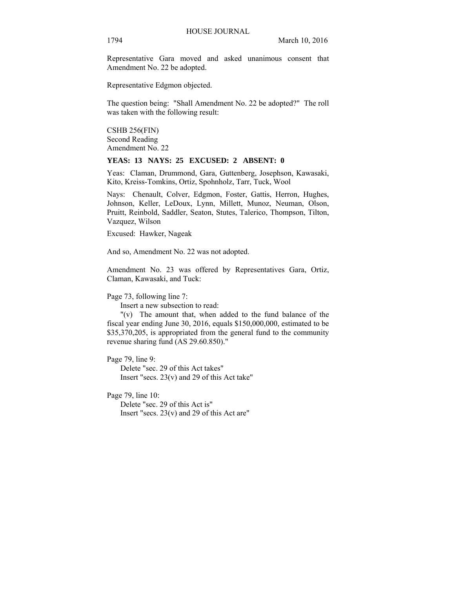Representative Gara moved and asked unanimous consent that Amendment No. 22 be adopted.

Representative Edgmon objected.

The question being: "Shall Amendment No. 22 be adopted?" The roll was taken with the following result:

CSHB 256(FIN) Second Reading Amendment No. 22

## **YEAS: 13 NAYS: 25 EXCUSED: 2 ABSENT: 0**

Yeas: Claman, Drummond, Gara, Guttenberg, Josephson, Kawasaki, Kito, Kreiss-Tomkins, Ortiz, Spohnholz, Tarr, Tuck, Wool

Nays: Chenault, Colver, Edgmon, Foster, Gattis, Herron, Hughes, Johnson, Keller, LeDoux, Lynn, Millett, Munoz, Neuman, Olson, Pruitt, Reinbold, Saddler, Seaton, Stutes, Talerico, Thompson, Tilton, Vazquez, Wilson

Excused: Hawker, Nageak

And so, Amendment No. 22 was not adopted.

Amendment No. 23 was offered by Representatives Gara, Ortiz, Claman, Kawasaki, and Tuck:

Page 73, following line 7:

Insert a new subsection to read:

"(v) The amount that, when added to the fund balance of the fiscal year ending June 30, 2016, equals \$150,000,000, estimated to be \$35,370,205, is appropriated from the general fund to the community revenue sharing fund (AS 29.60.850)."

Page 79, line 9:

Delete "sec. 29 of this Act takes" Insert "secs. 23(v) and 29 of this Act take"

Page 79, line 10:

Delete "sec. 29 of this Act is" Insert "secs. 23(v) and 29 of this Act are"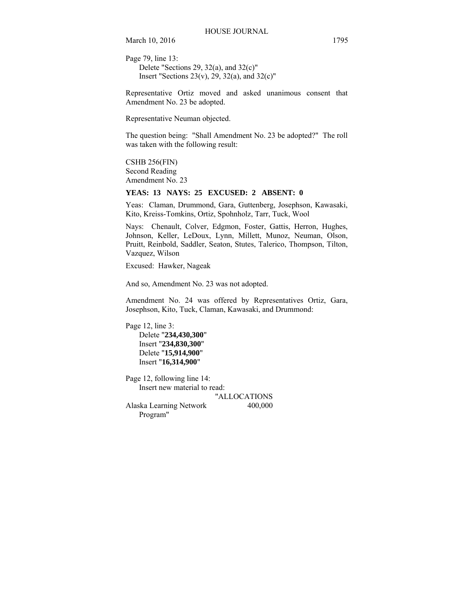Page 79, line 13: Delete "Sections 29,  $32(a)$ , and  $32(c)$ " Insert "Sections  $23(v)$ ,  $29$ ,  $32(a)$ , and  $32(c)$ "

Representative Ortiz moved and asked unanimous consent that Amendment No. 23 be adopted.

Representative Neuman objected.

The question being: "Shall Amendment No. 23 be adopted?" The roll was taken with the following result:

CSHB 256(FIN) Second Reading Amendment No. 23

**YEAS: 13 NAYS: 25 EXCUSED: 2 ABSENT: 0** 

Yeas: Claman, Drummond, Gara, Guttenberg, Josephson, Kawasaki, Kito, Kreiss-Tomkins, Ortiz, Spohnholz, Tarr, Tuck, Wool

Nays: Chenault, Colver, Edgmon, Foster, Gattis, Herron, Hughes, Johnson, Keller, LeDoux, Lynn, Millett, Munoz, Neuman, Olson, Pruitt, Reinbold, Saddler, Seaton, Stutes, Talerico, Thompson, Tilton, Vazquez, Wilson

Excused: Hawker, Nageak

And so, Amendment No. 23 was not adopted.

Amendment No. 24 was offered by Representatives Ortiz, Gara, Josephson, Kito, Tuck, Claman, Kawasaki, and Drummond:

Page 12, line 3: Delete "**234,430,300**" Insert "**234,830,300**" Delete "**15,914,900**" Insert "**16,314,900**"

Page 12, following line 14: Insert new material to read: "ALLOCATIONS Alaska Learning Network 400,000 Program"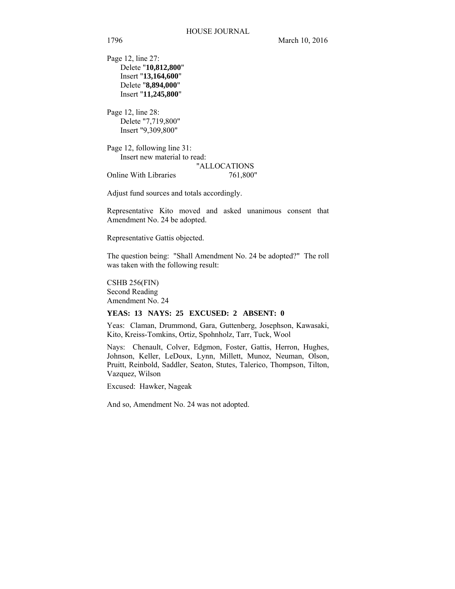Page 12, line 27: Delete "**10,812,800**" Insert "**13,164,600**" Delete "**8,894,000**" Insert "**11,245,800**"

Page 12, line 28: Delete "7,719,800" Insert "9,309,800"

Page 12, following line 31: Insert new material to read: "ALLOCATIONS Online With Libraries 761,800"

Adjust fund sources and totals accordingly.

Representative Kito moved and asked unanimous consent that Amendment No. 24 be adopted.

Representative Gattis objected.

The question being: "Shall Amendment No. 24 be adopted?" The roll was taken with the following result:

CSHB 256(FIN) Second Reading Amendment No. 24

## **YEAS: 13 NAYS: 25 EXCUSED: 2 ABSENT: 0**

Yeas: Claman, Drummond, Gara, Guttenberg, Josephson, Kawasaki, Kito, Kreiss-Tomkins, Ortiz, Spohnholz, Tarr, Tuck, Wool

Nays: Chenault, Colver, Edgmon, Foster, Gattis, Herron, Hughes, Johnson, Keller, LeDoux, Lynn, Millett, Munoz, Neuman, Olson, Pruitt, Reinbold, Saddler, Seaton, Stutes, Talerico, Thompson, Tilton, Vazquez, Wilson

Excused: Hawker, Nageak

And so, Amendment No. 24 was not adopted.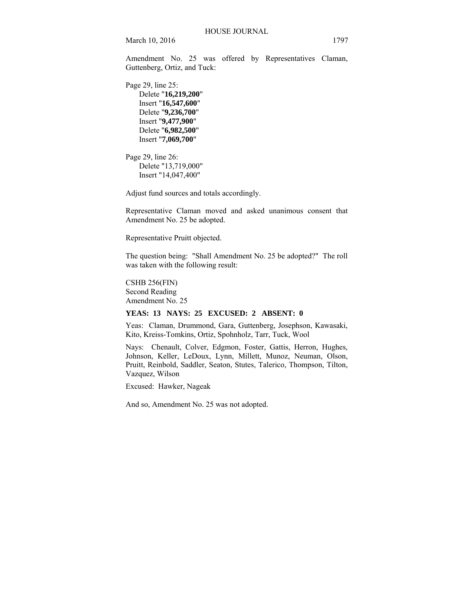Amendment No. 25 was offered by Representatives Claman, Guttenberg, Ortiz, and Tuck:

Page 29, line 25: Delete "**16,219,200**" Insert "**16,547,600**" Delete "**9,236,700**" Insert "**9,477,900**" Delete "**6,982,500**" Insert "**7,069,700**"

Page 29, line 26: Delete "13,719,000" Insert "14,047,400"

Adjust fund sources and totals accordingly.

Representative Claman moved and asked unanimous consent that Amendment No. 25 be adopted.

Representative Pruitt objected.

The question being: "Shall Amendment No. 25 be adopted?" The roll was taken with the following result:

CSHB 256(FIN) Second Reading Amendment No. 25

## **YEAS: 13 NAYS: 25 EXCUSED: 2 ABSENT: 0**

Yeas: Claman, Drummond, Gara, Guttenberg, Josephson, Kawasaki, Kito, Kreiss-Tomkins, Ortiz, Spohnholz, Tarr, Tuck, Wool

Nays: Chenault, Colver, Edgmon, Foster, Gattis, Herron, Hughes, Johnson, Keller, LeDoux, Lynn, Millett, Munoz, Neuman, Olson, Pruitt, Reinbold, Saddler, Seaton, Stutes, Talerico, Thompson, Tilton, Vazquez, Wilson

Excused: Hawker, Nageak

And so, Amendment No. 25 was not adopted.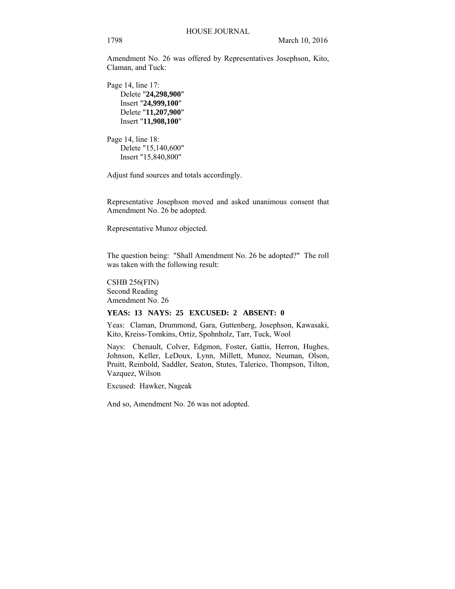Amendment No. 26 was offered by Representatives Josephson, Kito, Claman, and Tuck:

Page 14, line 17: Delete "**24,298,900**" Insert "**24,999,100**" Delete "**11,207,900**" Insert "**11,908,100**"

Page 14, line 18: Delete "15,140,600" Insert "15,840,800"

Adjust fund sources and totals accordingly.

Representative Josephson moved and asked unanimous consent that Amendment No. 26 be adopted.

Representative Munoz objected.

The question being: "Shall Amendment No. 26 be adopted?" The roll was taken with the following result:

CSHB 256(FIN) Second Reading Amendment No. 26

## **YEAS: 13 NAYS: 25 EXCUSED: 2 ABSENT: 0**

Yeas: Claman, Drummond, Gara, Guttenberg, Josephson, Kawasaki, Kito, Kreiss-Tomkins, Ortiz, Spohnholz, Tarr, Tuck, Wool

Nays: Chenault, Colver, Edgmon, Foster, Gattis, Herron, Hughes, Johnson, Keller, LeDoux, Lynn, Millett, Munoz, Neuman, Olson, Pruitt, Reinbold, Saddler, Seaton, Stutes, Talerico, Thompson, Tilton, Vazquez, Wilson

Excused: Hawker, Nageak

And so, Amendment No. 26 was not adopted.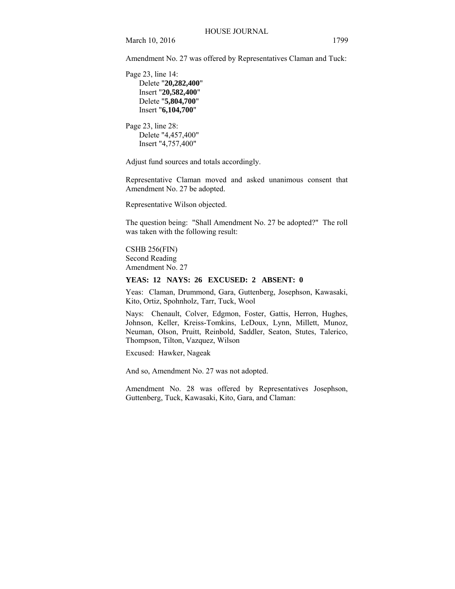Amendment No. 27 was offered by Representatives Claman and Tuck:

Page 23, line 14: Delete "**20,282,400**" Insert "**20,582,400**" Delete "**5,804,700**" Insert "**6,104,700**"

Page 23, line 28: Delete "4,457,400" Insert "4,757,400"

Adjust fund sources and totals accordingly.

Representative Claman moved and asked unanimous consent that Amendment No. 27 be adopted.

Representative Wilson objected.

The question being: "Shall Amendment No. 27 be adopted?" The roll was taken with the following result:

CSHB 256(FIN) Second Reading Amendment No. 27

## **YEAS: 12 NAYS: 26 EXCUSED: 2 ABSENT: 0**

Yeas: Claman, Drummond, Gara, Guttenberg, Josephson, Kawasaki, Kito, Ortiz, Spohnholz, Tarr, Tuck, Wool

Nays: Chenault, Colver, Edgmon, Foster, Gattis, Herron, Hughes, Johnson, Keller, Kreiss-Tomkins, LeDoux, Lynn, Millett, Munoz, Neuman, Olson, Pruitt, Reinbold, Saddler, Seaton, Stutes, Talerico, Thompson, Tilton, Vazquez, Wilson

Excused: Hawker, Nageak

And so, Amendment No. 27 was not adopted.

Amendment No. 28 was offered by Representatives Josephson, Guttenberg, Tuck, Kawasaki, Kito, Gara, and Claman: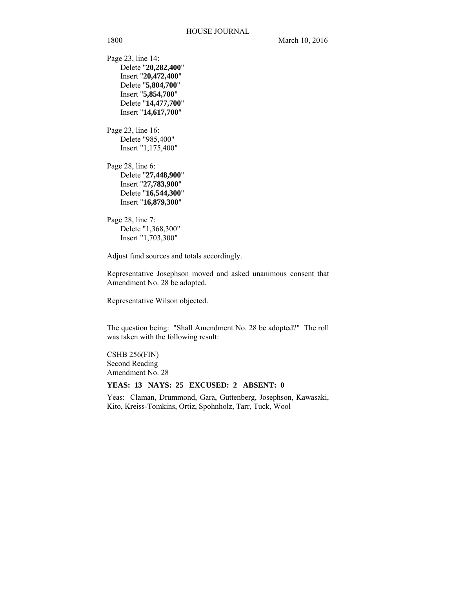Page 23, line 14: Delete "**20,282,400**" Insert "**20,472,400**" Delete "**5,804,700**" Insert "**5,854,700**" Delete "**14,477,700**" Insert "**14,617,700**"

Page 23, line 16: Delete "985,400" Insert "1,175,400"

Page 28, line 6: Delete "**27,448,900**" Insert "**27,783,900**" Delete "**16,544,300**" Insert "**16,879,300**"

Page 28, line 7: Delete "1,368,300" Insert "1,703,300"

Adjust fund sources and totals accordingly.

Representative Josephson moved and asked unanimous consent that Amendment No. 28 be adopted.

Representative Wilson objected.

The question being: "Shall Amendment No. 28 be adopted?" The roll was taken with the following result:

CSHB 256(FIN) Second Reading Amendment No. 28

## **YEAS: 13 NAYS: 25 EXCUSED: 2 ABSENT: 0**

Yeas: Claman, Drummond, Gara, Guttenberg, Josephson, Kawasaki, Kito, Kreiss-Tomkins, Ortiz, Spohnholz, Tarr, Tuck, Wool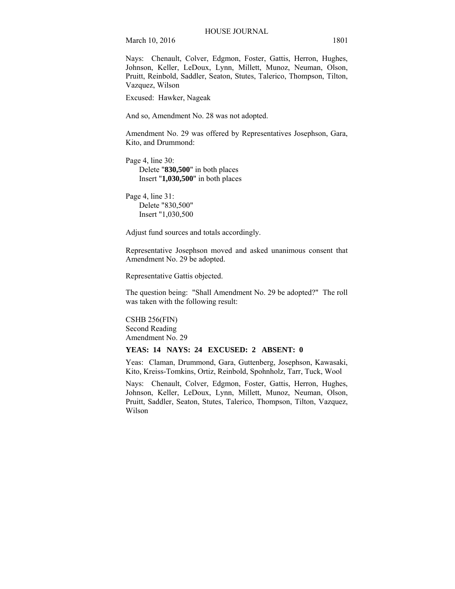Nays: Chenault, Colver, Edgmon, Foster, Gattis, Herron, Hughes, Johnson, Keller, LeDoux, Lynn, Millett, Munoz, Neuman, Olson, Pruitt, Reinbold, Saddler, Seaton, Stutes, Talerico, Thompson, Tilton, Vazquez, Wilson

Excused: Hawker, Nageak

And so, Amendment No. 28 was not adopted.

Amendment No. 29 was offered by Representatives Josephson, Gara, Kito, and Drummond:

Page 4, line 30: Delete "**830,500**" in both places Insert "**1,030,500**" in both places

Page 4, line 31: Delete "830,500" Insert "1,030,500

Adjust fund sources and totals accordingly.

Representative Josephson moved and asked unanimous consent that Amendment No. 29 be adopted.

Representative Gattis objected.

The question being: "Shall Amendment No. 29 be adopted?" The roll was taken with the following result:

CSHB 256(FIN) Second Reading Amendment No. 29

#### **YEAS: 14 NAYS: 24 EXCUSED: 2 ABSENT: 0**

Yeas: Claman, Drummond, Gara, Guttenberg, Josephson, Kawasaki, Kito, Kreiss-Tomkins, Ortiz, Reinbold, Spohnholz, Tarr, Tuck, Wool

Nays: Chenault, Colver, Edgmon, Foster, Gattis, Herron, Hughes, Johnson, Keller, LeDoux, Lynn, Millett, Munoz, Neuman, Olson, Pruitt, Saddler, Seaton, Stutes, Talerico, Thompson, Tilton, Vazquez, Wilson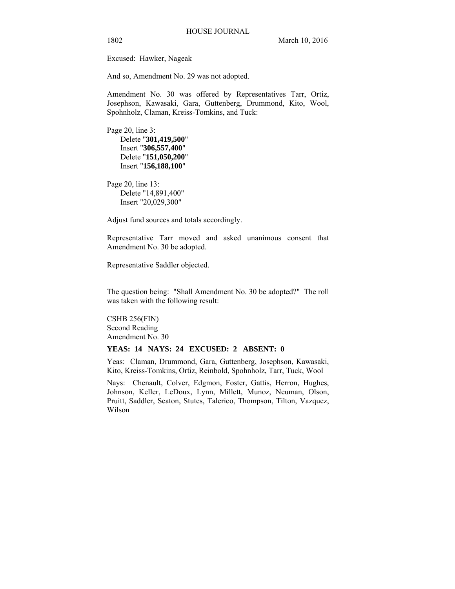Excused: Hawker, Nageak

And so, Amendment No. 29 was not adopted.

Amendment No. 30 was offered by Representatives Tarr, Ortiz, Josephson, Kawasaki, Gara, Guttenberg, Drummond, Kito, Wool, Spohnholz, Claman, Kreiss-Tomkins, and Tuck:

Page 20, line 3: Delete "**301,419,500**" Insert "**306,557,400**" Delete "**151,050,200**" Insert "**156,188,100**"

Page 20, line 13: Delete "14,891,400" Insert "20,029,300"

Adjust fund sources and totals accordingly.

Representative Tarr moved and asked unanimous consent that Amendment No. 30 be adopted.

Representative Saddler objected.

The question being: "Shall Amendment No. 30 be adopted?" The roll was taken with the following result:

CSHB 256(FIN) Second Reading Amendment No. 30

#### **YEAS: 14 NAYS: 24 EXCUSED: 2 ABSENT: 0**

Yeas: Claman, Drummond, Gara, Guttenberg, Josephson, Kawasaki, Kito, Kreiss-Tomkins, Ortiz, Reinbold, Spohnholz, Tarr, Tuck, Wool

Nays: Chenault, Colver, Edgmon, Foster, Gattis, Herron, Hughes, Johnson, Keller, LeDoux, Lynn, Millett, Munoz, Neuman, Olson, Pruitt, Saddler, Seaton, Stutes, Talerico, Thompson, Tilton, Vazquez, Wilson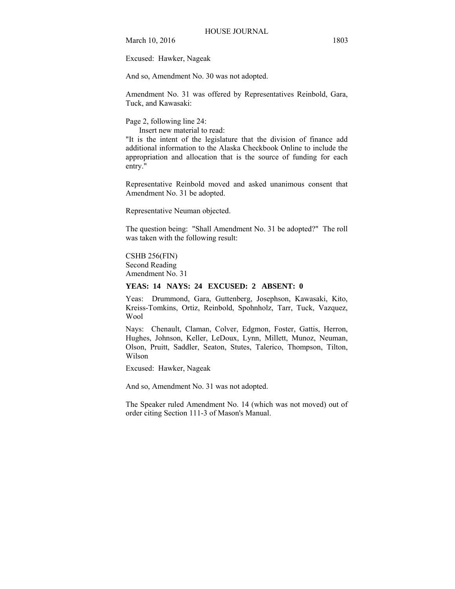Excused: Hawker, Nageak

And so, Amendment No. 30 was not adopted.

Amendment No. 31 was offered by Representatives Reinbold, Gara, Tuck, and Kawasaki:

Page 2, following line 24:

Insert new material to read:

"It is the intent of the legislature that the division of finance add additional information to the Alaska Checkbook Online to include the appropriation and allocation that is the source of funding for each entry."

Representative Reinbold moved and asked unanimous consent that Amendment No. 31 be adopted.

Representative Neuman objected.

The question being: "Shall Amendment No. 31 be adopted?" The roll was taken with the following result:

#### CSHB 256(FIN)

Second Reading Amendment No. 31

## **YEAS: 14 NAYS: 24 EXCUSED: 2 ABSENT: 0**

Yeas: Drummond, Gara, Guttenberg, Josephson, Kawasaki, Kito, Kreiss-Tomkins, Ortiz, Reinbold, Spohnholz, Tarr, Tuck, Vazquez, Wool

Nays: Chenault, Claman, Colver, Edgmon, Foster, Gattis, Herron, Hughes, Johnson, Keller, LeDoux, Lynn, Millett, Munoz, Neuman, Olson, Pruitt, Saddler, Seaton, Stutes, Talerico, Thompson, Tilton, Wilson

Excused: Hawker, Nageak

And so, Amendment No. 31 was not adopted.

The Speaker ruled Amendment No. 14 (which was not moved) out of order citing Section 111-3 of Mason's Manual.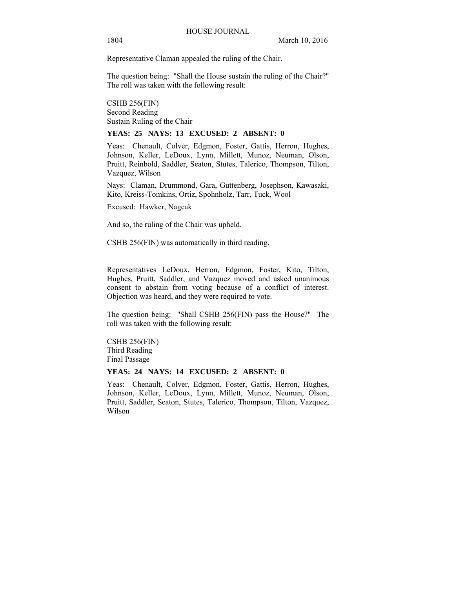Representative Claman appealed the ruling of the Chair.

The question being: "Shall the House sustain the ruling of the Chair?" The roll was taken with the following result:

CSHB 256(FIN) Second Reading Sustain Ruling of the Chair

#### **YEAS: 25 NAYS: 13 EXCUSED: 2 ABSENT: 0**

Yeas: Chenault, Colver, Edgmon, Foster, Gattis, Herron, Hughes, Johnson, Keller, LeDoux, Lynn, Millett, Munoz, Neuman, Olson, Pruitt, Reinbold, Saddler, Seaton, Stutes, Talerico, Thompson, Tilton, Vazquez, Wilson

Nays: Claman, Drummond, Gara, Guttenberg, Josephson, Kawasaki, Kito, Kreiss-Tomkins, Ortiz, Spohnholz, Tarr, Tuck, Wool

Excused: Hawker, Nageak

And so, the ruling of the Chair was upheld.

CSHB 256(FIN) was automatically in third reading.

Representatives LeDoux, Herron, Edgmon, Foster, Kito, Tilton, Hughes, Pruitt, Saddler, and Vazquez moved and asked unanimous consent to abstain from voting because of a conflict of interest. Objection was heard, and they were required to vote.

The question being: "Shall CSHB 256(FIN) pass the House?" The roll was taken with the following result:

CSHB 256(FIN) Third Reading Final Passage

#### **YEAS: 24 NAYS: 14 EXCUSED: 2 ABSENT: 0**

Yeas: Chenault, Colver, Edgmon, Foster, Gattis, Herron, Hughes, Johnson, Keller, LeDoux, Lynn, Millett, Munoz, Neuman, Olson, Pruitt, Saddler, Seaton, Stutes, Talerico, Thompson, Tilton, Vazquez, Wilson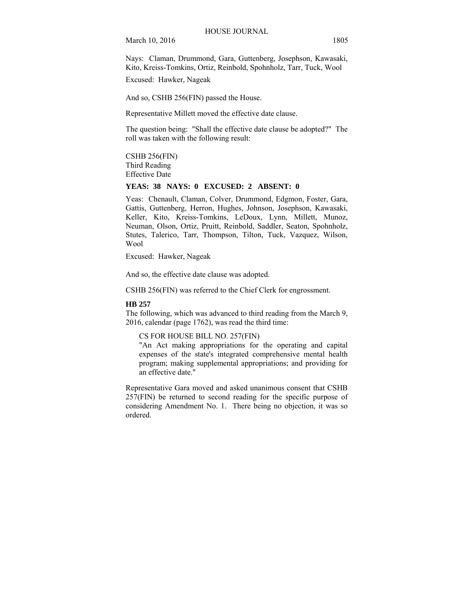Nays: Claman, Drummond, Gara, Guttenberg, Josephson, Kawasaki, Kito, Kreiss-Tomkins, Ortiz, Reinbold, Spohnholz, Tarr, Tuck, Wool

Excused: Hawker, Nageak

And so, CSHB 256(FIN) passed the House.

Representative Millett moved the effective date clause.

The question being: "Shall the effective date clause be adopted?" The roll was taken with the following result:

# CSHB 256(FIN) Third Reading

Effective Date

# **YEAS: 38 NAYS: 0 EXCUSED: 2 ABSENT: 0**

Yeas: Chenault, Claman, Colver, Drummond, Edgmon, Foster, Gara, Gattis, Guttenberg, Herron, Hughes, Johnson, Josephson, Kawasaki, Keller, Kito, Kreiss-Tomkins, LeDoux, Lynn, Millett, Munoz, Neuman, Olson, Ortiz, Pruitt, Reinbold, Saddler, Seaton, Spohnholz, Stutes, Talerico, Tarr, Thompson, Tilton, Tuck, Vazquez, Wilson, Wool

Excused: Hawker, Nageak

And so, the effective date clause was adopted.

CSHB 256(FIN) was referred to the Chief Clerk for engrossment.

## **HB 257**

The following, which was advanced to third reading from the March 9, 2016, calendar (page 1762), was read the third time:

#### CS FOR HOUSE BILL NO. 257(FIN)

"An Act making appropriations for the operating and capital expenses of the state's integrated comprehensive mental health program; making supplemental appropriations; and providing for an effective date."

Representative Gara moved and asked unanimous consent that CSHB 257(FIN) be returned to second reading for the specific purpose of considering Amendment No. 1. There being no objection, it was so ordered.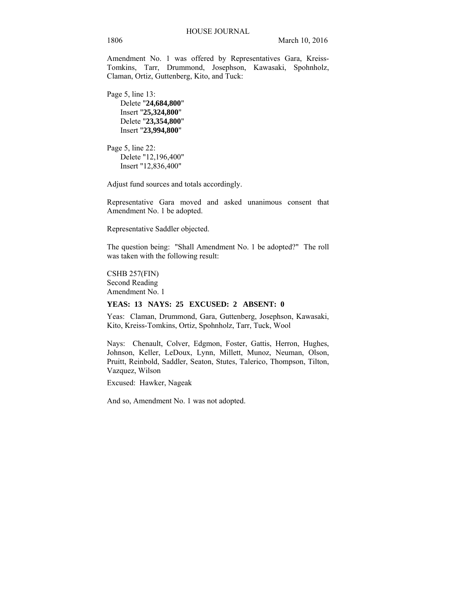Amendment No. 1 was offered by Representatives Gara, Kreiss-Tomkins, Tarr, Drummond, Josephson, Kawasaki, Spohnholz, Claman, Ortiz, Guttenberg, Kito, and Tuck:

Page 5, line 13: Delete "**24,684,800**" Insert "**25,324,800**" Delete "**23,354,800**" Insert "**23,994,800**"

Page 5, line 22: Delete "12,196,400" Insert "12,836,400"

Adjust fund sources and totals accordingly.

Representative Gara moved and asked unanimous consent that Amendment No. 1 be adopted.

Representative Saddler objected.

The question being: "Shall Amendment No. 1 be adopted?" The roll was taken with the following result:

CSHB 257(FIN) Second Reading Amendment No. 1

## **YEAS: 13 NAYS: 25 EXCUSED: 2 ABSENT: 0**

Yeas: Claman, Drummond, Gara, Guttenberg, Josephson, Kawasaki, Kito, Kreiss-Tomkins, Ortiz, Spohnholz, Tarr, Tuck, Wool

Nays: Chenault, Colver, Edgmon, Foster, Gattis, Herron, Hughes, Johnson, Keller, LeDoux, Lynn, Millett, Munoz, Neuman, Olson, Pruitt, Reinbold, Saddler, Seaton, Stutes, Talerico, Thompson, Tilton, Vazquez, Wilson

Excused: Hawker, Nageak

And so, Amendment No. 1 was not adopted.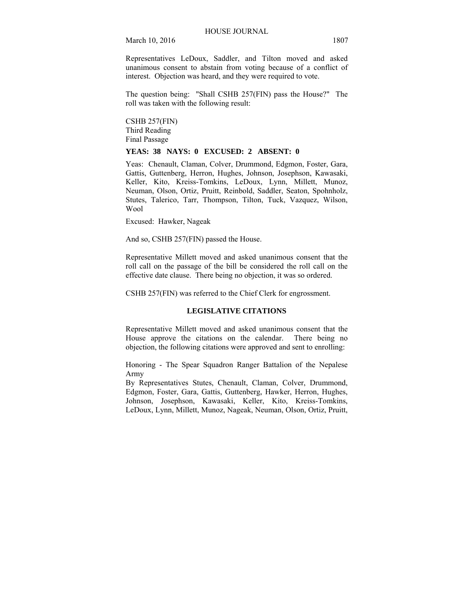Representatives LeDoux, Saddler, and Tilton moved and asked unanimous consent to abstain from voting because of a conflict of interest. Objection was heard, and they were required to vote.

The question being: "Shall CSHB 257(FIN) pass the House?" The roll was taken with the following result:

CSHB 257(FIN) Third Reading Final Passage

## **YEAS: 38 NAYS: 0 EXCUSED: 2 ABSENT: 0**

Yeas: Chenault, Claman, Colver, Drummond, Edgmon, Foster, Gara, Gattis, Guttenberg, Herron, Hughes, Johnson, Josephson, Kawasaki, Keller, Kito, Kreiss-Tomkins, LeDoux, Lynn, Millett, Munoz, Neuman, Olson, Ortiz, Pruitt, Reinbold, Saddler, Seaton, Spohnholz, Stutes, Talerico, Tarr, Thompson, Tilton, Tuck, Vazquez, Wilson, Wool

Excused: Hawker, Nageak

And so, CSHB 257(FIN) passed the House.

Representative Millett moved and asked unanimous consent that the roll call on the passage of the bill be considered the roll call on the effective date clause. There being no objection, it was so ordered.

CSHB 257(FIN) was referred to the Chief Clerk for engrossment.

# **LEGISLATIVE CITATIONS**

Representative Millett moved and asked unanimous consent that the House approve the citations on the calendar. There being no objection, the following citations were approved and sent to enrolling:

Honoring - The Spear Squadron Ranger Battalion of the Nepalese Army

By Representatives Stutes, Chenault, Claman, Colver, Drummond, Edgmon, Foster, Gara, Gattis, Guttenberg, Hawker, Herron, Hughes, Johnson, Josephson, Kawasaki, Keller, Kito, Kreiss-Tomkins, LeDoux, Lynn, Millett, Munoz, Nageak, Neuman, Olson, Ortiz, Pruitt,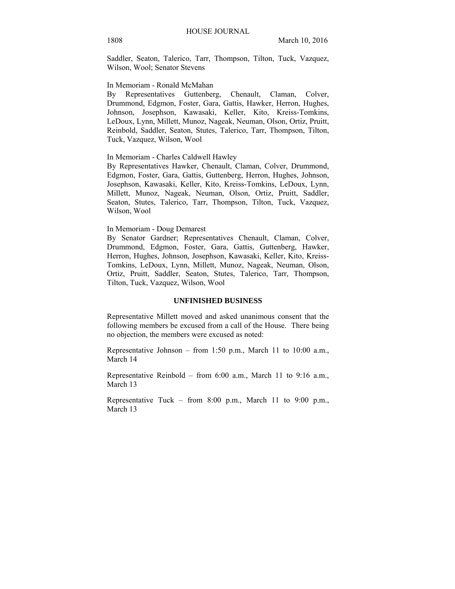Saddler, Seaton, Talerico, Tarr, Thompson, Tilton, Tuck, Vazquez, Wilson, Wool; Senator Stevens

## In Memoriam - Ronald McMahan

By Representatives Guttenberg, Chenault, Claman, Colver, Drummond, Edgmon, Foster, Gara, Gattis, Hawker, Herron, Hughes, Johnson, Josephson, Kawasaki, Keller, Kito, Kreiss-Tomkins, LeDoux, Lynn, Millett, Munoz, Nageak, Neuman, Olson, Ortiz, Pruitt, Reinbold, Saddler, Seaton, Stutes, Talerico, Tarr, Thompson, Tilton, Tuck, Vazquez, Wilson, Wool

#### In Memoriam - Charles Caldwell Hawley

By Representatives Hawker, Chenault, Claman, Colver, Drummond, Edgmon, Foster, Gara, Gattis, Guttenberg, Herron, Hughes, Johnson, Josephson, Kawasaki, Keller, Kito, Kreiss-Tomkins, LeDoux, Lynn, Millett, Munoz, Nageak, Neuman, Olson, Ortiz, Pruitt, Saddler, Seaton, Stutes, Talerico, Tarr, Thompson, Tilton, Tuck, Vazquez, Wilson, Wool

## In Memoriam - Doug Demarest

By Senator Gardner; Representatives Chenault, Claman, Colver, Drummond, Edgmon, Foster, Gara, Gattis, Guttenberg, Hawker, Herron, Hughes, Johnson, Josephson, Kawasaki, Keller, Kito, Kreiss-Tomkins, LeDoux, Lynn, Millett, Munoz, Nageak, Neuman, Olson, Ortiz, Pruitt, Saddler, Seaton, Stutes, Talerico, Tarr, Thompson, Tilton, Tuck, Vazquez, Wilson, Wool

#### **UNFINISHED BUSINESS**

Representative Millett moved and asked unanimous consent that the following members be excused from a call of the House. There being no objection, the members were excused as noted:

Representative Johnson – from 1:50 p.m., March 11 to 10:00 a.m., March 14

Representative Reinbold – from  $6:00$  a.m., March 11 to 9:16 a.m., March 13

Representative Tuck – from  $8:00$  p.m., March 11 to  $9:00$  p.m., March 13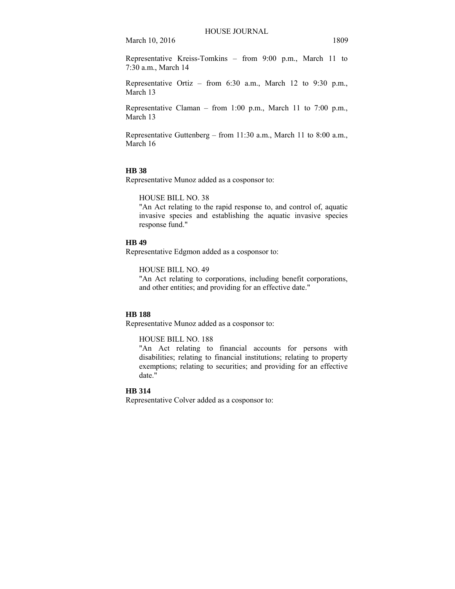Representative Kreiss-Tomkins  $-$  from 9:00 p.m., March 11 to 7:30 a.m., March 14

Representative Ortiz – from  $6:30$  a.m., March 12 to 9:30 p.m., March 13

Representative Claman  $-$  from 1:00 p.m., March 11 to 7:00 p.m., March 13

Representative Guttenberg – from 11:30 a.m., March 11 to 8:00 a.m., March 16

#### **HB 38**

Representative Munoz added as a cosponsor to:

# HOUSE BILL NO. 38

"An Act relating to the rapid response to, and control of, aquatic invasive species and establishing the aquatic invasive species response fund."

## **HB 49**

Representative Edgmon added as a cosponsor to:

HOUSE BILL NO. 49

"An Act relating to corporations, including benefit corporations, and other entities; and providing for an effective date."

## **HB 188**

Representative Munoz added as a cosponsor to:

# HOUSE BILL NO. 188

"An Act relating to financial accounts for persons with disabilities; relating to financial institutions; relating to property exemptions; relating to securities; and providing for an effective date."

## **HB 314**

Representative Colver added as a cosponsor to: